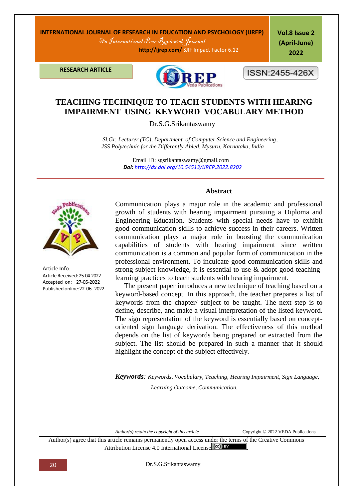## **INTERNATIONAL JOURNAL OF RESEARCH IN EDUCATION AND PSYCHOLOGY (IJREP)** An International Peer Reviewed Journal

 **http://ijrep.com/** SJIF Impact Factor 6.12

**Vol.8 Issue 2 (April-June) 2022**

**RESEARCH ARTICLE**



ISSN:2455-426X

# **TEACHING TECHNIQUE TO TEACH STUDENTS WITH HEARING IMPAIRMENT USING KEYWORD VOCABULARY METHOD**

Dr.S.G.Srikantaswamy

 *Sl.Gr. Lecturer (TC), Department of Computer Science and Engineering, JSS Polytechnic for the Differently Abled, Mysuru, Karnataka, India*

> Email ID: sgsrikantaswamy@gmail.com *Doi: <http://dx.doi.org/10.54513/IJREP.2022.8202>*



Article Info: Article Received: 25-04-2022 Accepted on: 27-05-2022 Published online:22-06 -2022

### **Abstract**

Communication plays a major role in the academic and professional growth of students with hearing impairment pursuing a Diploma and Engineering Education. Students with special needs have to exhibit good communication skills to achieve success in their careers. Written communication plays a major role in boosting the communication capabilities of students with hearing impairment since written communication is a common and popular form of communication in the professional environment. To inculcate good communication skills and strong subject knowledge, it is essential to use & adopt good teachinglearning practices to teach students with hearing impairment.

 The present paper introduces a new technique of teaching based on a keyword-based concept. In this approach, the teacher prepares a list of keywords from the chapter/ subject to be taught. The next step is to define, describe, and make a visual interpretation of the listed keyword. The sign representation of the keyword is essentially based on conceptoriented sign language derivation. The effectiveness of this method depends on the list of keywords being prepared or extracted from the subject. The list should be prepared in such a manner that it should highlight the concept of the subject effectively.

*Keywords: Keywords, Vocabulary, Teaching, Hearing Impairment, Sign Language, Learning Outcome, Communication.*

*Author(s) retain the copyright of this article* Copyright © 2022 VEDA Publications

Author(s) agree that this article remains permanently open access under the terms of the Creative Commons Attribution License 4[.](http://creativecommons.org/licenses/by/4.0/)0 International License  $\left($  cc) **EX** 

20 Dr.S.G.Srikantaswamy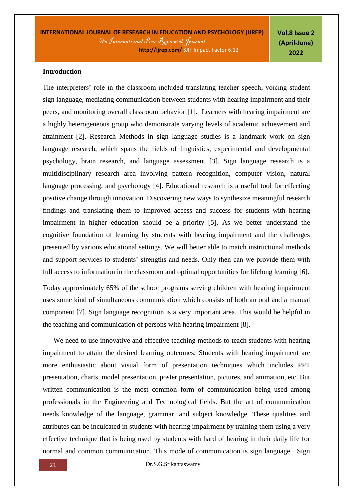**Vol.8 Issue 2 (April-June) 2022**

#### **Introduction**

The interpreters' role in the classroom included translating teacher speech, voicing student sign language, mediating communication between students with hearing impairment and their peers, and monitoring overall classroom behavior [1]. Learners with hearing impairment are a highly heterogeneous group who demonstrate varying levels of academic achievement and attainment [2]. Research Methods in sign language studies is a landmark work on sign language research, which spans the fields of linguistics, experimental and developmental psychology, brain research, and language assessment [3]. Sign language research is a multidisciplinary research area involving pattern recognition, computer vision, natural language processing, and psychology [4]. Educational research is a useful tool for effecting positive change through innovation. Discovering new ways to synthesize meaningful research findings and translating them to improved access and success for students with hearing impairment in higher education should be a priority [5]. As we better understand the cognitive foundation of learning by students with hearing impairment and the challenges presented by various educational settings. We will better able to match instructional methods and support services to students' strengths and needs. Only then can we provide them with full access to information in the classroom and optimal opportunities for lifelong learning [6].

Today approximately 65% of the school programs serving children with hearing impairment uses some kind of simultaneous communication which consists of both an oral and a manual component [7]. Sign language recognition is a very important area. This would be helpful in the teaching and communication of persons with hearing impairment [8].

We need to use innovative and effective teaching methods to teach students with hearing impairment to attain the desired learning outcomes. Students with hearing impairment are more enthusiastic about visual form of presentation techniques which includes PPT presentation, charts, model presentation, poster presentation, pictures, and animation, etc. But written communication is the most common form of communication being used among professionals in the Engineering and Technological fields. But the art of communication needs knowledge of the language, grammar, and subject knowledge. These qualities and attributes can be inculcated in students with hearing impairment by training them using a very effective technique that is being used by students with hard of hearing in their daily life for normal and common communication. This mode of communication is sign language. Sign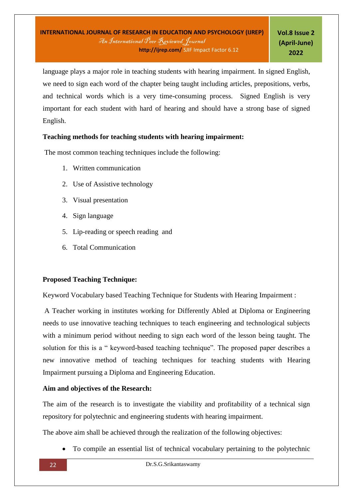language plays a major role in teaching students with hearing impairment. In signed English, we need to sign each word of the chapter being taught including articles, prepositions, verbs, and technical words which is a very time-consuming process. Signed English is very important for each student with hard of hearing and should have a strong base of signed English.

## **Teaching methods for teaching students with hearing impairment:**

The most common teaching techniques include the following:

- 1. Written communication
- 2. Use of Assistive technology
- 3. Visual presentation
- 4. Sign language
- 5. Lip-reading or speech reading and
- 6. Total Communication

### **Proposed Teaching Technique:**

Keyword Vocabulary based Teaching Technique for Students with Hearing Impairment :

A Teacher working in institutes working for Differently Abled at Diploma or Engineering needs to use innovative teaching techniques to teach engineering and technological subjects with a minimum period without needing to sign each word of the lesson being taught. The solution for this is a " keyword-based teaching technique". The proposed paper describes a new innovative method of teaching techniques for teaching students with Hearing Impairment pursuing a Diploma and Engineering Education.

### **Aim and objectives of the Research:**

The aim of the research is to investigate the viability and profitability of a technical sign repository for polytechnic and engineering students with hearing impairment.

The above aim shall be achieved through the realization of the following objectives:

To compile an essential list of technical vocabulary pertaining to the polytechnic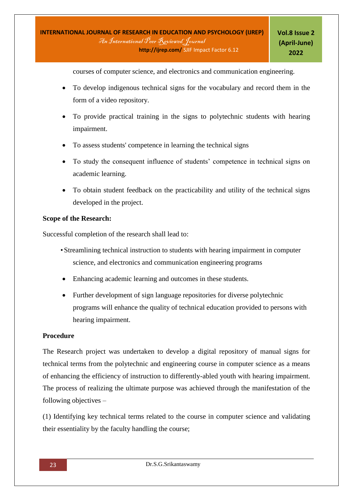courses of computer science, and electronics and communication engineering.

- To develop indigenous technical signs for the vocabulary and record them in the form of a video repository.
- To provide practical training in the signs to polytechnic students with hearing impairment.
- To assess students' competence in learning the technical signs
- To study the consequent influence of students' competence in technical signs on academic learning.
- To obtain student feedback on the practicability and utility of the technical signs developed in the project.

### **Scope of the Research:**

Successful completion of the research shall lead to:

- Streamlining technical instruction to students with hearing impairment in computer science, and electronics and communication engineering programs
- Enhancing academic learning and outcomes in these students.
- Further development of sign language repositories for diverse polytechnic programs will enhance the quality of technical education provided to persons with hearing impairment.

#### **Procedure**

The Research project was undertaken to develop a digital repository of manual signs for technical terms from the polytechnic and engineering course in computer science as a means of enhancing the efficiency of instruction to differently-abled youth with hearing impairment. The process of realizing the ultimate purpose was achieved through the manifestation of the following objectives –

(1) Identifying key technical terms related to the course in computer science and validating their essentiality by the faculty handling the course;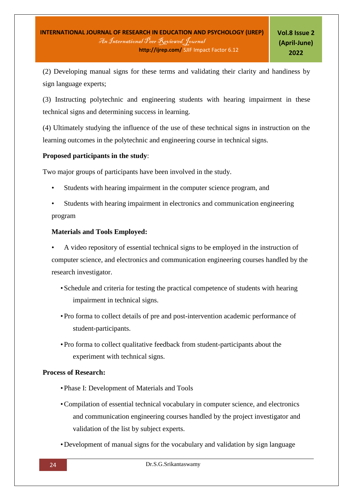(2) Developing manual signs for these terms and validating their clarity and handiness by sign language experts;

(3) Instructing polytechnic and engineering students with hearing impairment in these technical signs and determining success in learning.

(4) Ultimately studying the influence of the use of these technical signs in instruction on the learning outcomes in the polytechnic and engineering course in technical signs.

## **Proposed participants in the study**:

Two major groups of participants have been involved in the study.

- Students with hearing impairment in the computer science program, and
- Students with hearing impairment in electronics and communication engineering program

## **Materials and Tools Employed:**

• A video repository of essential technical signs to be employed in the instruction of computer science, and electronics and communication engineering courses handled by the research investigator.

- Schedule and criteria for testing the practical competence of students with hearing impairment in technical signs.
- Pro forma to collect details of pre and post-intervention academic performance of student-participants.
- Pro forma to collect qualitative feedback from student-participants about the experiment with technical signs.

### **Process of Research:**

- Phase I: Development of Materials and Tools
- •Compilation of essential technical vocabulary in computer science, and electronics and communication engineering courses handled by the project investigator and validation of the list by subject experts.
- Development of manual signs for the vocabulary and validation by sign language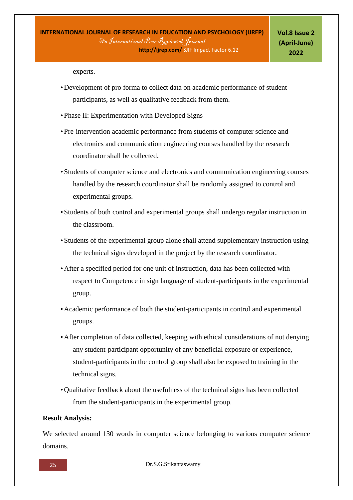experts.

- Development of pro forma to collect data on academic performance of studentparticipants, as well as qualitative feedback from them.
- Phase II: Experimentation with Developed Signs
- Pre-intervention academic performance from students of computer science and electronics and communication engineering courses handled by the research coordinator shall be collected.
- Students of computer science and electronics and communication engineering courses handled by the research coordinator shall be randomly assigned to control and experimental groups.
- Students of both control and experimental groups shall undergo regular instruction in the classroom.
- Students of the experimental group alone shall attend supplementary instruction using the technical signs developed in the project by the research coordinator.
- After a specified period for one unit of instruction, data has been collected with respect to Competence in sign language of student-participants in the experimental group.
- Academic performance of both the student-participants in control and experimental groups.
- After completion of data collected, keeping with ethical considerations of not denying any student-participant opportunity of any beneficial exposure or experience, student-participants in the control group shall also be exposed to training in the technical signs.
- Qualitative feedback about the usefulness of the technical signs has been collected from the student-participants in the experimental group.

#### **Result Analysis:**

We selected around 130 words in computer science belonging to various computer science domains.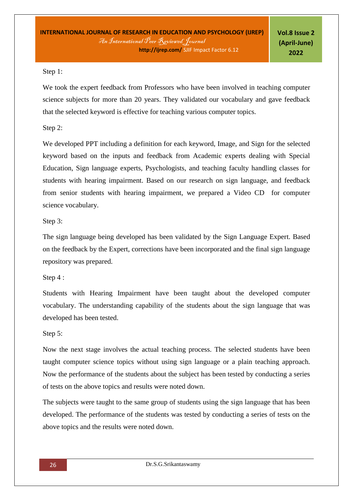## Step 1:

We took the expert feedback from Professors who have been involved in teaching computer science subjects for more than 20 years. They validated our vocabulary and gave feedback that the selected keyword is effective for teaching various computer topics.

Step 2:

We developed PPT including a definition for each keyword, Image, and Sign for the selected keyword based on the inputs and feedback from Academic experts dealing with Special Education, Sign language experts, Psychologists, and teaching faculty handling classes for students with hearing impairment. Based on our research on sign language, and feedback from senior students with hearing impairment, we prepared a Video CD for computer science vocabulary.

## Step 3:

The sign language being developed has been validated by the Sign Language Expert. Based on the feedback by the Expert, corrections have been incorporated and the final sign language repository was prepared.

## Step 4 :

Students with Hearing Impairment have been taught about the developed computer vocabulary. The understanding capability of the students about the sign language that was developed has been tested.

# Step 5:

Now the next stage involves the actual teaching process. The selected students have been taught computer science topics without using sign language or a plain teaching approach. Now the performance of the students about the subject has been tested by conducting a series of tests on the above topics and results were noted down.

The subjects were taught to the same group of students using the sign language that has been developed. The performance of the students was tested by conducting a series of tests on the above topics and the results were noted down.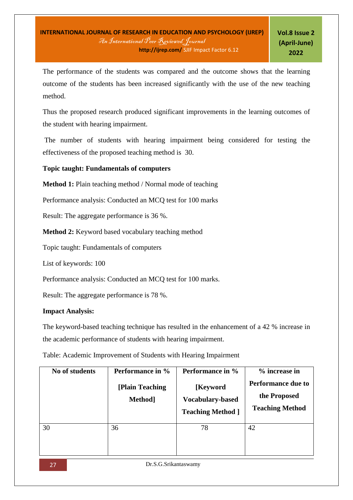The performance of the students was compared and the outcome shows that the learning outcome of the students has been increased significantly with the use of the new teaching method.

Thus the proposed research produced significant improvements in the learning outcomes of the student with hearing impairment.

The number of students with hearing impairment being considered for testing the effectiveness of the proposed teaching method is 30.

## **Topic taught: Fundamentals of computers**

**Method 1:** Plain teaching method / Normal mode of teaching

Performance analysis: Conducted an MCQ test for 100 marks

Result: The aggregate performance is 36 %.

**Method 2:** Keyword based vocabulary teaching method

Topic taught: Fundamentals of computers

List of keywords: 100

Performance analysis: Conducted an MCQ test for 100 marks.

Result: The aggregate performance is 78 %.

### **Impact Analysis:**

The keyword-based teaching technique has resulted in the enhancement of a 42 % increase in the academic performance of students with hearing impairment.

Table: Academic Improvement of Students with Hearing Impairment

| No of students | Performance in %<br>[Plain Teaching]<br>Method <sup>1</sup> | Performance in %<br>[Keyword]<br><b>Vocabulary-based</b><br><b>Teaching Method</b> ] | % increase in<br><b>Performance due to</b><br>the Proposed<br><b>Teaching Method</b> |
|----------------|-------------------------------------------------------------|--------------------------------------------------------------------------------------|--------------------------------------------------------------------------------------|
| 30             | 36                                                          | 78                                                                                   | 42                                                                                   |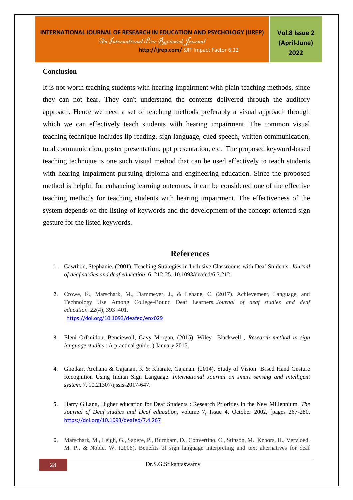#### **Conclusion**

It is not worth teaching students with hearing impairment with plain teaching methods, since they can not hear. They can't understand the contents delivered through the auditory approach. Hence we need a set of teaching methods preferably a visual approach through which we can effectively teach students with hearing impairment. The common visual teaching technique includes lip reading, sign language, cued speech, written communication, total communication, poster presentation, ppt presentation, etc. The proposed keyword-based teaching technique is one such visual method that can be used effectively to teach students with hearing impairment pursuing diploma and engineering education. Since the proposed method is helpful for enhancing learning outcomes, it can be considered one of the effective teaching methods for teaching students with hearing impairment. The effectiveness of the system depends on the listing of keywords and the development of the concept-oriented sign gesture for the listed keywords.

### **References**

- 1. Cawthon, Stephanie. (2001). Teaching Strategies in Inclusive Classrooms with Deaf Students. *Journal of deaf studies and deaf education*. 6. 212-25. 10.1093/deafed/6.3.212.
- 2. Crowe, K., Marschark, M., Dammeyer, J., & Lehane, C. (2017). Achievement, Language, and Technology Use Among College-Bound Deaf Learners. *Journal of deaf studies and deaf education, 22*(4), 393–401. <https://doi.org/10.1093/deafed/enx029>
- 3. Eleni Orfanidou, Benciewoll, Gavy Morgan, (2015). Wiley Blackwell , *Research method in sign language studies* : A practical guide, ).January 2015.
- 4. Ghotkar, Archana & Gajanan, K & Kharate, Gajanan. (2014). Study of Vision Based Hand Gesture Recognition Using Indian Sign Language. *International Journal on smart sensing and intelligent system.* 7. 10.21307/ijssis-2017-647.
- 5. Harry G.Lang, Higher education for Deaf Students : Research Priorities in the New Millennium. *The Journal of Deaf studies and Deaf education*, volume 7, Issue 4, October 2002, [pages 267-280. <https://doi.org/10.1093/deafed/7.4.267>
- 6. Marschark, M., Leigh, G., Sapere, P., Burnham, D., Convertino, C., Stinson, M., Knoors, H., Vervloed, M. P., & Noble, W. (2006). Benefits of sign language interpreting and text alternatives for deaf